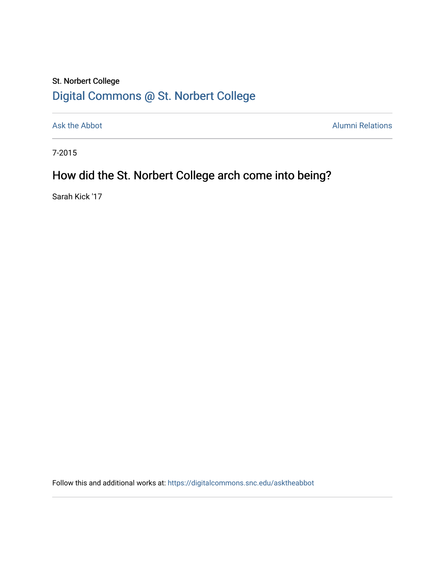## St. Norbert College [Digital Commons @ St. Norbert College](https://digitalcommons.snc.edu/)

[Ask the Abbot](https://digitalcommons.snc.edu/asktheabbot) **Alumni Relations** Alumni Relations

7-2015

# How did the St. Norbert College arch come into being?

Sarah Kick '17

Follow this and additional works at: [https://digitalcommons.snc.edu/asktheabbot](https://digitalcommons.snc.edu/asktheabbot?utm_source=digitalcommons.snc.edu%2Fasktheabbot%2F99&utm_medium=PDF&utm_campaign=PDFCoverPages)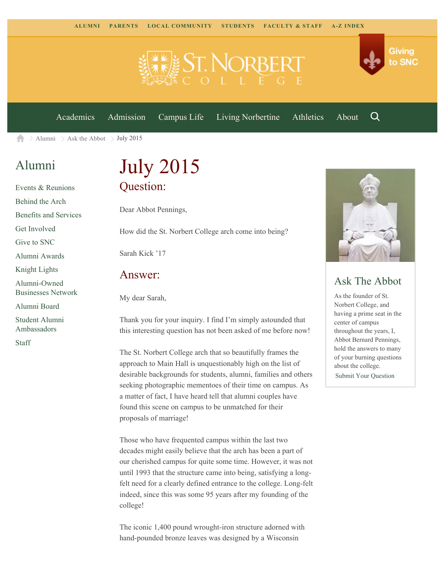

[Academics](https://www.snc.edu/academics) [Admission](https://www.snc.edu/admission) [Campus Life](https://www.snc.edu/campuslife) [Living Norbertine](https://www.snc.edu/livingnorbertine) [Athletics](https://www.snc.edu/athletics) [About](https://www.snc.edu/about)

Q

Giving

to SNC

[Alumni](https://www.snc.edu/alumni/)  $\geq$  [Ask the Abbot](https://www.snc.edu/alumni/abbot/)  $\geq$  July 2015 合

### [Alumni](https://www.snc.edu/alumni/index.html)

[Events & Reunions](https://www.snc.edu/alumni/event/index.html) [Behind the Arch](https://www.snc.edu/alumni/event/behindthearch/) [Benefits and Services](https://www.snc.edu/alumni/benefits.html) [Get Involved](https://www.snc.edu/alumni/getinvolved.html) [Give to SNC](http://giving.snc.edu/) [Alumni Awards](https://www.snc.edu/alumni/awards/index.html) [Knight Lights](https://www.snc.edu/alumni/knightlights/index.html) [Alumni-Owned](https://www.snc.edu/alumni/directory/index.html) [Businesses Network](https://www.snc.edu/alumni/directory/index.html) [Alumni Board](https://www.snc.edu/alumni/alumniboard.html) [Student Alumni](https://www.snc.edu/alumni/saa.html) [Ambassadors](https://www.snc.edu/alumni/saa.html) [Staff](https://www.snc.edu/alumni/contactus.html)

# July 2015 Question:

Dear Abbot Pennings,

How did the St. Norbert College arch come into being?

Sarah Kick '17

#### Answer:

My dear Sarah,

Thank you for your inquiry. I find I'm simply astounded that this interesting question has not been asked of me before now!

The St. Norbert College arch that so beautifully frames the approach to Main Hall is unquestionably high on the list of desirable backgrounds for students, alumni, families and others seeking photographic mementoes of their time on campus. As a matter of fact, I have heard tell that alumni couples have found this scene on campus to be unmatched for their proposals of marriage!

Those who have frequented campus within the last two decades might easily believe that the arch has been a part of our cherished campus for quite some time. However, it was not until 1993 that the structure came into being, satisfying a longfelt need for a clearly defined entrance to the college. Long-felt indeed, since this was some 95 years after my founding of the college!

The iconic 1,400 pound wrought-iron structure adorned with hand-pounded bronze leaves was designed by a Wisconsin



### Ask The Abbot

As the founder of St. Norbert College, and having a prime seat in the center of campus throughout the years, I, Abbot Bernard Pennings, hold the answers to many of your burning questions about the college. [Submit Your Question](https://www.snc.edu/alumni/abbot/index.html)